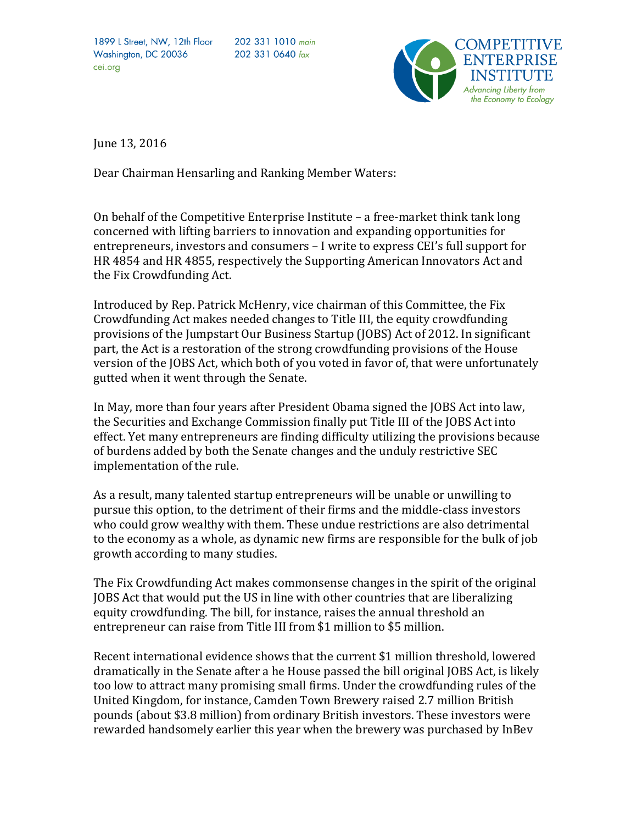1899 L Street, NW, 12th Floor Washington, DC 20036 cei.org

202 331 1010 main 202 331 0640 fax



June 13, 2016

Dear Chairman Hensarling and Ranking Member Waters:

On behalf of the Competitive Enterprise Institute – a free-market think tank long concerned with lifting barriers to innovation and expanding opportunities for entrepreneurs, investors and consumers – I write to express CEI's full support for HR 4854 and HR 4855, respectively the Supporting American Innovators Act and the Fix Crowdfunding Act.

Introduced by Rep. Patrick McHenry, vice chairman of this Committee, the Fix Crowdfunding Act makes needed changes to Title III, the equity crowdfunding provisions of the Jumpstart Our Business Startup (JOBS) Act of 2012. In significant part, the Act is a restoration of the strong crowdfunding provisions of the House version of the JOBS Act, which both of you voted in favor of, that were unfortunately gutted when it went through the Senate.

In May, more than four years after President Obama signed the JOBS Act into law, the Securities and Exchange Commission finally put Title III of the JOBS Act into effect. Yet many entrepreneurs are finding difficulty utilizing the provisions because of burdens added by both the Senate changes and the unduly restrictive SEC implementation of the rule.

As a result, many talented startup entrepreneurs will be unable or unwilling to pursue this option, to the detriment of their firms and the middle-class investors who could grow wealthy with them. These undue restrictions are also detrimental to the economy as a whole, as dynamic new firms are responsible for the bulk of job growth according to many studies.

The Fix Crowdfunding Act makes commonsense changes in the spirit of the original JOBS Act that would put the US in line with other countries that are liberalizing equity crowdfunding. The bill, for instance, raises the annual threshold an entrepreneur can raise from Title III from \$1 million to \$5 million.

Recent international evidence shows that the current \$1 million threshold, lowered dramatically in the Senate after a he House passed the bill original JOBS Act, is likely too low to attract many promising small firms. Under the crowdfunding rules of the United Kingdom, for instance, Camden Town Brewery raised 2.7 million British pounds (about \$3.8 million) from ordinary British investors. These investors were rewarded handsomely earlier this year when the brewery was purchased by InBev